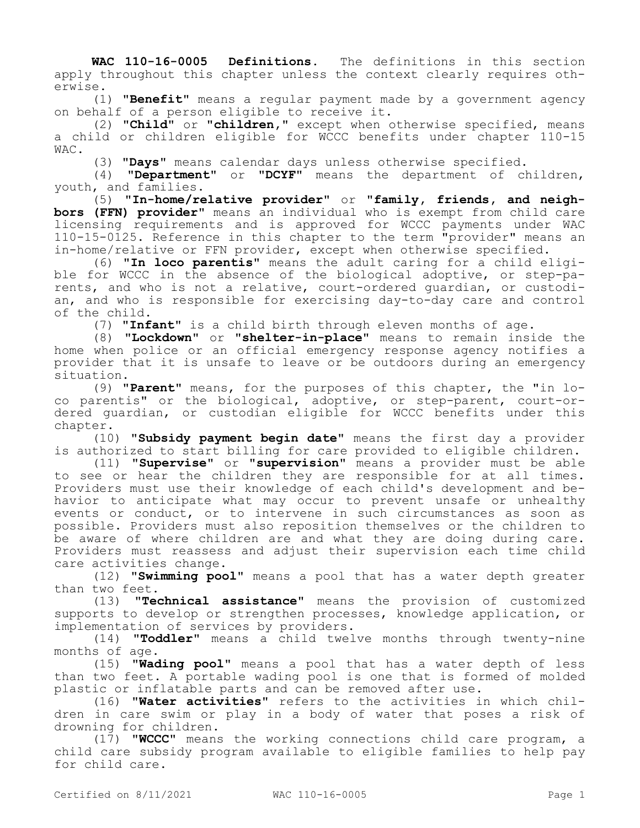**WAC 110-16-0005 Definitions.** The definitions in this section apply throughout this chapter unless the context clearly requires otherwise.

(1) **"Benefit"** means a regular payment made by a government agency on behalf of a person eligible to receive it.

(2) **"Child"** or **"children,"** except when otherwise specified, means a child or children eligible for WCCC benefits under chapter 110-15 WAC.

(3) **"Days"** means calendar days unless otherwise specified.

(4) **"Department"** or **"DCYF"** means the department of children, youth, and families.

(5) **"In-home/relative provider"** or **"family, friends, and neighbors (FFN) provider"** means an individual who is exempt from child care licensing requirements and is approved for WCCC payments under WAC 110-15-0125. Reference in this chapter to the term "provider" means an in-home/relative or FFN provider, except when otherwise specified.

(6) **"In loco parentis"** means the adult caring for a child eligible for WCCC in the absence of the biological adoptive, or step-parents, and who is not a relative, court-ordered guardian, or custodian, and who is responsible for exercising day-to-day care and control of the child.

(7) **"Infant"** is a child birth through eleven months of age.

(8) **"Lockdown"** or **"shelter-in-place"** means to remain inside the home when police or an official emergency response agency notifies a provider that it is unsafe to leave or be outdoors during an emergency situation.

(9) **"Parent"** means, for the purposes of this chapter, the "in loco parentis" or the biological, adoptive, or step-parent, court-ordered guardian, or custodian eligible for WCCC benefits under this chapter.

(10) **"Subsidy payment begin date"** means the first day a provider is authorized to start billing for care provided to eligible children.

(11) **"Supervise"** or **"supervision"** means a provider must be able to see or hear the children they are responsible for at all times. Providers must use their knowledge of each child's development and behavior to anticipate what may occur to prevent unsafe or unhealthy events or conduct, or to intervene in such circumstances as soon as possible. Providers must also reposition themselves or the children to be aware of where children are and what they are doing during care. Providers must reassess and adjust their supervision each time child care activities change.

(12) **"Swimming pool"** means a pool that has a water depth greater than two feet.

(13) **"Technical assistance"** means the provision of customized supports to develop or strengthen processes, knowledge application, or implementation of services by providers.

(14) **"Toddler"** means a child twelve months through twenty-nine months of age.

(15) **"Wading pool"** means a pool that has a water depth of less than two feet. A portable wading pool is one that is formed of molded plastic or inflatable parts and can be removed after use.

(16) **"Water activities"** refers to the activities in which children in care swim or play in a body of water that poses a risk of drowning for children.

(17) **"WCCC"** means the working connections child care program, a child care subsidy program available to eligible families to help pay for child care.